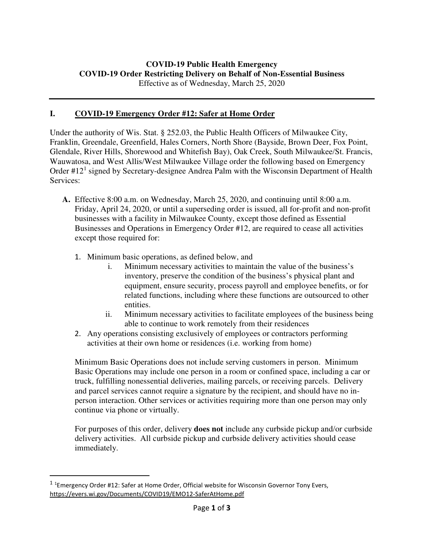## **I. COVID-19 Emergency Order #12: Safer at Home Order**

Under the authority of Wis. Stat. § 252.03, the Public Health Officers of Milwaukee City, Franklin, Greendale, Greenfield, Hales Corners, North Shore (Bayside, Brown Deer, Fox Point, Glendale, River Hills, Shorewood and Whitefish Bay), Oak Creek, South Milwaukee/St. Francis, Wauwatosa, and West Allis/West Milwaukee Village order the following based on Emergency Order #12<sup>1</sup> signed by Secretary-designee Andrea Palm with the Wisconsin Department of Health Services:

- **A.** Effective 8:00 a.m. on Wednesday, March 25, 2020, and continuing until 8:00 a.m. Friday, April 24, 2020, or until a superseding order is issued, all for-profit and non-profit businesses with a facility in Milwaukee County, except those defined as Essential Businesses and Operations in Emergency Order #12, are required to cease all activities except those required for:
	- 1. Minimum basic operations, as defined below, and
		- i. Minimum necessary activities to maintain the value of the business's inventory, preserve the condition of the business's physical plant and equipment, ensure security, process payroll and employee benefits, or for related functions, including where these functions are outsourced to other entities.
		- ii. Minimum necessary activities to facilitate employees of the business being able to continue to work remotely from their residences
	- 2. Any operations consisting exclusively of employees or contractors performing activities at their own home or residences (i.e. working from home)

Minimum Basic Operations does not include serving customers in person. Minimum Basic Operations may include one person in a room or confined space, including a car or truck, fulfilling nonessential deliveries, mailing parcels, or receiving parcels. Delivery and parcel services cannot require a signature by the recipient, and should have no inperson interaction. Other services or activities requiring more than one person may only continue via phone or virtually.

For purposes of this order, delivery **does not** include any curbside pickup and/or curbside delivery activities. All curbside pickup and curbside delivery activities should cease immediately.

1

<sup>&</sup>lt;sup>1</sup> <sup>1</sup> Emergency Order #12: Safer at Home Order, Official website for Wisconsin Governor Tony Evers, https://evers.wi.gov/Documents/COVID19/EMO12-SaferAtHome.pdf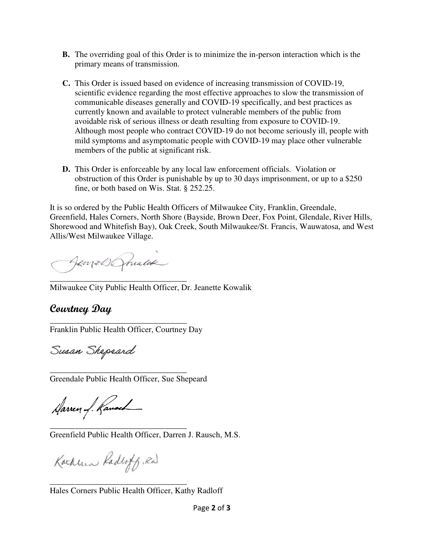- **B.** The overriding goal of this Order is to minimize the in-person interaction which is the primary means of transmission.
- **C.** This Order is issued based on evidence of increasing transmission of COVID-19, scientific evidence regarding the most effective approaches to slow the transmission of communicable diseases generally and COVID-19 specifically, and best practices as currently known and available to protect vulnerable members of the public from avoidable risk of serious illness or death resulting from exposure to COVID-19. Although most people who contract COVID-19 do not become seriously ill, people with mild symptoms and asymptomatic people with COVID-19 may place other vulnerable members of the public at significant risk.
- **D.** This Order is enforceable by any local law enforcement officials. Violation or obstruction of this Order is punishable by up to 30 days imprisonment, or up to a \$250 fine, or both based on Wis. Stat. § 252.25.

It is so ordered by the Public Health Officers of Milwaukee City, Franklin, Greendale, Greenfield, Hales Corners, North Shore (Bayside, Brown Deer, Fox Point, Glendale, River Hills, Shorewood and Whitefish Bay), Oak Creek, South Milwaukee/St. Francis, Wauwatosa, and West Allis/West Milwaukee Village.

Jemes Ponalde

\_\_\_\_\_\_\_\_\_\_\_\_\_\_\_\_\_\_\_\_\_\_\_\_\_\_\_\_\_\_\_\_\_ Milwaukee City Public Health Officer, Dr. Jeanette Kowalik

## **Courtney Day**

\_\_\_\_\_\_\_\_\_\_\_\_\_\_\_\_\_\_\_\_\_\_\_\_\_\_\_\_\_\_\_\_\_ Franklin Public Health Officer, Courtney Day

Susan Shepeard

\_\_\_\_\_\_\_\_\_\_\_\_\_\_\_\_\_\_\_\_\_\_\_\_\_\_\_\_\_\_\_\_\_ Greendale Public Health Officer, Sue Shepeard

Harren of Ranach

\_\_\_\_\_\_\_\_\_\_\_\_\_\_\_\_\_\_\_\_\_\_\_\_\_\_\_\_\_\_\_\_\_ Greenfield Public Health Officer, Darren J. Rausch, M.S.

Kachun Radloff, Rd

\_\_\_\_\_\_\_\_\_\_\_\_\_\_\_\_\_\_\_\_\_\_\_\_\_\_\_\_\_\_\_\_\_

Hales Corners Public Health Officer, Kathy Radloff